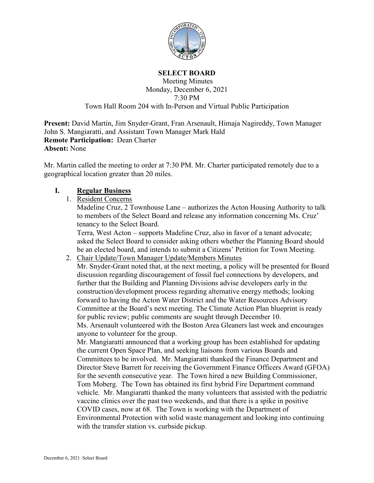

#### **SELECT BOARD**

### Meeting Minutes Monday, December 6, 2021 7:30 PM Town Hall Room 204 with In-Person and Virtual Public Participation

**Present:** David Martin, Jim Snyder-Grant, Fran Arsenault, Himaja Nagireddy, Town Manager John S. Mangiaratti, and Assistant Town Manager Mark Hald **Remote Participation:** Dean Charter **Absent:** None

Mr. Martin called the meeting to order at 7:30 PM. Mr. Charter participated remotely due to a geographical location greater than 20 miles.

### **I. Regular Business**

1. Resident Concerns

Madeline Cruz, 2 Townhouse Lane – authorizes the Acton Housing Authority to talk to members of the Select Board and release any information concerning Ms. Cruz' tenancy to the Select Board.

Terra, West Acton – supports Madeline Cruz, also in favor of a tenant advocate; asked the Select Board to consider asking others whether the Planning Board should be an elected board, and intends to submit a Citizens' Petition for Town Meeting.

2. Chair Update/Town Manager Update/Members Minutes

Mr. Snyder-Grant noted that, at the next meeting, a policy will be presented for Board discussion regarding discouragement of fossil fuel connections by developers, and further that the Building and Planning Divisions advise developers early in the construction/development process regarding alternative energy methods; looking forward to having the Acton Water District and the Water Resources Advisory Committee at the Board's next meeting. The Climate Action Plan blueprint is ready for public review; public comments are sought through December 10. Ms. Arsenault volunteered with the Boston Area Gleaners last week and encourages anyone to volunteer for the group.

Mr. Mangiaratti announced that a working group has been established for updating the current Open Space Plan, and seeking liaisons from various Boards and Committees to be involved. Mr. Mangiaratti thanked the Finance Department and Director Steve Barrett for receiving the Government Finance Officers Award (GFOA) for the seventh consecutive year. The Town hired a new Building Commissioner, Tom Moberg. The Town has obtained its first hybrid Fire Department command vehicle. Mr. Mangiaratti thanked the many volunteers that assisted with the pediatric vaccine clinics over the past two weekends, and that there is a spike in positive COVID cases, now at 68. The Town is working with the Department of Environmental Protection with solid waste management and looking into continuing with the transfer station vs. curbside pickup.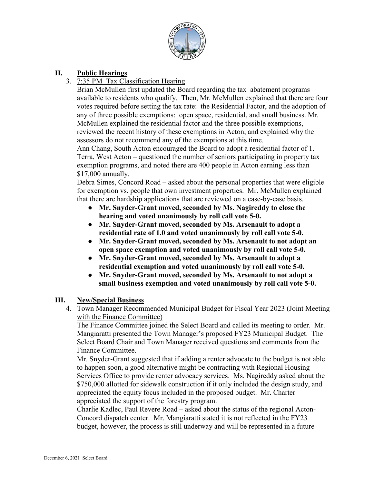

# **II. Public Hearings**

## 3. 7:35 PM Tax Classification Hearing

Brian McMullen first updated the Board regarding the tax abatement programs available to residents who qualify. Then, Mr. McMullen explained that there are four votes required before setting the tax rate: the Residential Factor, and the adoption of any of three possible exemptions: open space, residential, and small business. Mr. McMullen explained the residential factor and the three possible exemptions, reviewed the recent history of these exemptions in Acton, and explained why the assessors do not recommend any of the exemptions at this time.

Ann Chang, South Acton encouraged the Board to adopt a residential factor of 1. Terra, West Acton – questioned the number of seniors participating in property tax exemption programs, and noted there are 400 people in Acton earning less than \$17,000 annually.

Debra Simes, Concord Road – asked about the personal properties that were eligible for exemption vs. people that own investment properties. Mr. McMullen explained that there are hardship applications that are reviewed on a case-by-case basis.

- **Mr. Snyder-Grant moved, seconded by Ms. Nagireddy to close the hearing and voted unanimously by roll call vote 5-0.**
- **Mr. Snyder-Grant moved, seconded by Ms. Arsenault to adopt a residential rate of 1.0 and voted unanimously by roll call vote 5-0.**
- **Mr. Snyder-Grant moved, seconded by Ms. Arsenault to not adopt an open space exemption and voted unanimously by roll call vote 5-0.**
- **Mr. Snyder-Grant moved, seconded by Ms. Arsenault to adopt a residential exemption and voted unanimously by roll call vote 5-0.**
- **Mr. Snyder-Grant moved, seconded by Ms. Arsenault to not adopt a small business exemption and voted unanimously by roll call vote 5-0.**

## **III. New/Special Business**

4. Town Manager Recommended Municipal Budget for Fiscal Year 2023 (Joint Meeting with the Finance Committee)

The Finance Committee joined the Select Board and called its meeting to order. Mr. Mangiaratti presented the Town Manager's proposed FY23 Municipal Budget. The Select Board Chair and Town Manager received questions and comments from the Finance Committee.

Mr. Snyder-Grant suggested that if adding a renter advocate to the budget is not able to happen soon, a good alternative might be contracting with Regional Housing Services Office to provide renter advocacy services. Ms. Nagireddy asked about the \$750,000 allotted for sidewalk construction if it only included the design study, and appreciated the equity focus included in the proposed budget. Mr. Charter appreciated the support of the forestry program.

Charlie Kadlec, Paul Revere Road – asked about the status of the regional Acton-Concord dispatch center. Mr. Mangiaratti stated it is not reflected in the FY23 budget, however, the process is still underway and will be represented in a future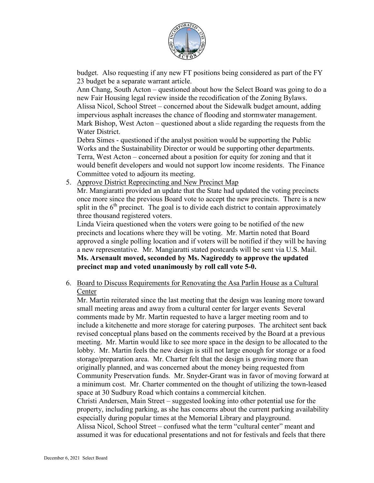

budget. Also requesting if any new FT positions being considered as part of the FY 23 budget be a separate warrant article.

Ann Chang, South Acton – questioned about how the Select Board was going to do a new Fair Housing legal review inside the recodification of the Zoning Bylaws. Alissa Nicol, School Street – concerned about the Sidewalk budget amount, adding impervious asphalt increases the chance of flooding and stormwater management. Mark Bishop, West Acton – questioned about a slide regarding the requests from the Water District.

Debra Simes - questioned if the analyst position would be supporting the Public Works and the Sustainability Director or would be supporting other departments. Terra, West Acton – concerned about a position for equity for zoning and that it would benefit developers and would not support low income residents. The Finance Committee voted to adjourn its meeting.

5. Approve District Reprecincting and New Precinct Map

Mr. Mangiaratti provided an update that the State had updated the voting precincts once more since the previous Board vote to accept the new precincts. There is a new split in the  $6<sup>th</sup>$  precinct. The goal is to divide each district to contain approximately three thousand registered voters.

Linda Vieira questioned when the voters were going to be notified of the new precincts and locations where they will be voting. Mr. Martin noted that Board approved a single polling location and if voters will be notified if they will be having a new representative. Mr. Mangiaratti stated postcards will be sent via U.S. Mail. **Ms. Arsenault moved, seconded by Ms. Nagireddy to approve the updated precinct map and voted unanimously by roll call vote 5-0.**

6. Board to Discuss Requirements for Renovating the Asa Parlin House as a Cultural Center

Mr. Martin reiterated since the last meeting that the design was leaning more toward small meeting areas and away from a cultural center for larger events Several comments made by Mr. Martin requested to have a larger meeting room and to include a kitchenette and more storage for catering purposes. The architect sent back revised conceptual plans based on the comments received by the Board at a previous meeting. Mr. Martin would like to see more space in the design to be allocated to the lobby. Mr. Martin feels the new design is still not large enough for storage or a food storage/preparation area. Mr. Charter felt that the design is growing more than originally planned, and was concerned about the money being requested from Community Preservation funds. Mr. Snyder-Grant was in favor of moving forward at a minimum cost. Mr. Charter commented on the thought of utilizing the town-leased space at 30 Sudbury Road which contains a commercial kitchen. Christi Andersen, Main Street – suggested looking into other potential use for the property, including parking, as she has concerns about the current parking availability especially during popular times at the Memorial Library and playground. Alissa Nicol, School Street – confused what the term "cultural center" meant and

assumed it was for educational presentations and not for festivals and feels that there

December 6, 2021 Select Board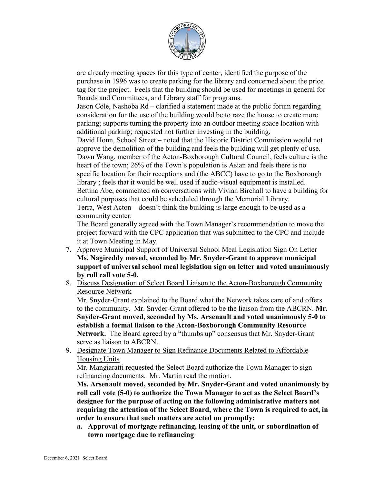

are already meeting spaces for this type of center, identified the purpose of the purchase in 1996 was to create parking for the library and concerned about the price tag for the project. Feels that the building should be used for meetings in general for Boards and Committees, and Library staff for programs.

Jason Cole, Nashoba Rd – clarified a statement made at the public forum regarding consideration for the use of the building would be to raze the house to create more parking; supports turning the property into an outdoor meeting space location with additional parking; requested not further investing in the building.

David Honn, School Street – noted that the Historic District Commission would not approve the demolition of the building and feels the building will get plenty of use. Dawn Wang, member of the Acton-Boxborough Cultural Council, feels culture is the heart of the town; 26% of the Town's population is Asian and feels there is no specific location for their receptions and (the ABCC) have to go to the Boxborough library ; feels that it would be well used if audio-visual equipment is installed. Bettina Abe, commented on conversations with Vivian Birchall to have a building for cultural purposes that could be scheduled through the Memorial Library. Terra, West Acton – doesn't think the building is large enough to be used as a community center.

The Board generally agreed with the Town Manager's recommendation to move the project forward with the CPC application that was submitted to the CPC and include it at Town Meeting in May.

- 7. Approve Municipal Support of Universal School Meal Legislation Sign On Letter **Ms. Nagireddy moved, seconded by Mr. Snyder-Grant to approve municipal support of universal school meal legislation sign on letter and voted unanimously by roll call vote 5-0.**
- 8. Discuss Designation of Select Board Liaison to the Acton-Boxborough Community Resource Network

Mr. Snyder-Grant explained to the Board what the Network takes care of and offers to the community. Mr. Snyder-Grant offered to be the liaison from the ABCRN. **Mr. Snyder-Grant moved, seconded by Ms. Arsenault and voted unanimously 5-0 to establish a formal liaison to the Acton-Boxborough Community Resource Network.** The Board agreed by a "thumbs up" consensus that Mr. Snyder-Grant serve as liaison to ABCRN.

9. Designate Town Manager to Sign Refinance Documents Related to Affordable Housing Units

Mr. Mangiaratti requested the Select Board authorize the Town Manager to sign refinancing documents. Mr. Martin read the motion.

**Ms. Arsenault moved, seconded by Mr. Snyder-Grant and voted unanimously by roll call vote (5-0) to authorize the Town Manager to act as the Select Board's designee for the purpose of acting on the following administrative matters not requiring the attention of the Select Board, where the Town is required to act, in order to ensure that such matters are acted on promptly:**

**a. Approval of mortgage refinancing, leasing of the unit, or subordination of town mortgage due to refinancing**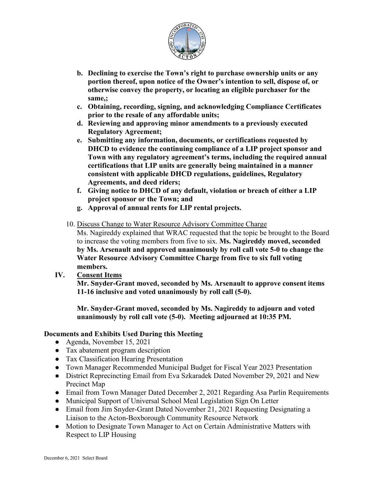

- **b. Declining to exercise the Town's right to purchase ownership units or any portion thereof, upon notice of the Owner's intention to sell, dispose of, or otherwise convey the property, or locating an eligible purchaser for the same,;**
- **c. Obtaining, recording, signing, and acknowledging Compliance Certificates prior to the resale of any affordable units;**
- **d. Reviewing and approving minor amendments to a previously executed Regulatory Agreement;**
- **e. Submitting any information, documents, or certifications requested by DHCD to evidence the continuing compliance of a LIP project sponsor and Town with any regulatory agreement's terms, including the required annual certifications that LIP units are generally being maintained in a manner consistent with applicable DHCD regulations, guidelines, Regulatory Agreements, and deed riders;**
- **f. Giving notice to DHCD of any default, violation or breach of either a LIP project sponsor or the Town; and**
- **g. Approval of annual rents for LIP rental projects.**
- 10. Discuss Change to Water Resource Advisory Committee Charge Ms. Nagireddy explained that WRAC requested that the topic be brought to the Board to increase the voting members from five to six. **Ms. Nagireddy moved, seconded by Ms. Arsenault and approved unanimously by roll call vote 5-0 to change the Water Resource Advisory Committee Charge from five to six full voting members.**
- **IV. Consent Items**

**Mr. Snyder-Grant moved, seconded by Ms. Arsenault to approve consent items 11-16 inclusive and voted unanimously by roll call (5-0).**

**Mr. Snyder-Grant moved, seconded by Ms. Nagireddy to adjourn and voted unanimously by roll call vote (5-0). Meeting adjourned at 10:35 PM.**

## **Documents and Exhibits Used During this Meeting**

- Agenda, November 15, 2021
- Tax abatement program description
- Tax Classification Hearing Presentation
- Town Manager Recommended Municipal Budget for Fiscal Year 2023 Presentation
- District Reprecincting Email from Eva Szkaradek Dated November 29, 2021 and New Precinct Map
- Email from Town Manager Dated December 2, 2021 Regarding Asa Parlin Requirements
- Municipal Support of Universal School Meal Legislation Sign On Letter
- Email from Jim Snyder-Grant Dated November 21, 2021 Requesting Designating a Liaison to the Acton-Boxborough Community Resource Network
- Motion to Designate Town Manager to Act on Certain Administrative Matters with Respect to LIP Housing